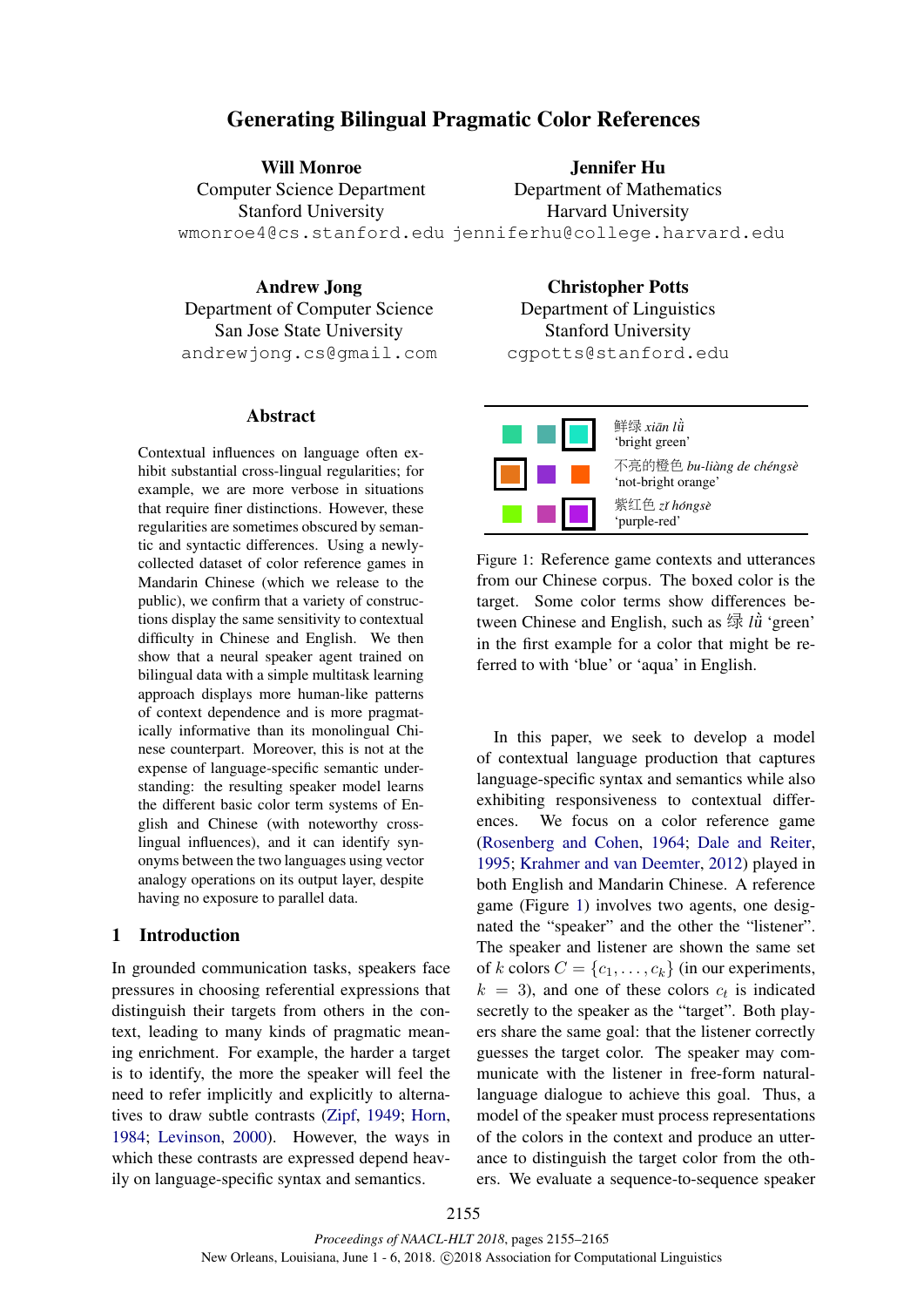# Generating Bilingual Pragmatic Color References

Will Monroe Computer Science Department Stanford University wmonroe4@cs.stanford.edu jenniferhu@college.harvard.edu Jennifer Hu Department of Mathematics Harvard University

Andrew Jong Department of Computer Science San Jose State University andrewjong.cs@gmail.com

### Abstract

Contextual influences on language often exhibit substantial cross-lingual regularities; for example, we are more verbose in situations that require finer distinctions. However, these regularities are sometimes obscured by semantic and syntactic differences. Using a newlycollected dataset of color reference games in Mandarin Chinese (which we release to the public), we confirm that a variety of constructions display the same sensitivity to contextual difficulty in Chinese and English. We then show that a neural speaker agent trained on bilingual data with a simple multitask learning approach displays more human-like patterns of context dependence and is more pragmatically informative than its monolingual Chinese counterpart. Moreover, this is not at the expense of language-specific semantic understanding: the resulting speaker model learns the different basic color term systems of English and Chinese (with noteworthy crosslingual influences), and it can identify synonyms between the two languages using vector analogy operations on its output layer, despite having no exposure to parallel data.

### 1 Introduction

In grounded communication tasks, speakers face pressures in choosing referential expressions that distinguish their targets from others in the context, leading to many kinds of pragmatic meaning enrichment. For example, the harder a target is to identify, the more the speaker will feel the need to refer implicitly and explicitly to alternatives to draw subtle contrasts (Zipf, 1949; Horn, 1984; Levinson, 2000). However, the ways in which these contrasts are expressed depend heavily on language-specific syntax and semantics.

Christopher Potts Department of Linguistics Stanford University cgpotts@stanford.edu



Figure 1: Reference game contexts and utterances from our Chinese corpus. The boxed color is the target. Some color terms show differences between Chinese and English, such as 绿 *l*ǜ 'green' in the first example for a color that might be referred to with 'blue' or 'aqua' in English.

In this paper, we seek to develop a model of contextual language production that captures language-specific syntax and semantics while also exhibiting responsiveness to contextual differences. We focus on a color reference game (Rosenberg and Cohen, 1964; Dale and Reiter, 1995; Krahmer and van Deemter, 2012) played in both English and Mandarin Chinese. A reference game (Figure 1) involves two agents, one designated the "speaker" and the other the "listener". The speaker and listener are shown the same set of k colors  $C = \{c_1, \ldots, c_k\}$  (in our experiments,  $k = 3$ ), and one of these colors  $c_t$  is indicated secretly to the speaker as the "target". Both players share the same goal: that the listener correctly guesses the target color. The speaker may communicate with the listener in free-form naturallanguage dialogue to achieve this goal. Thus, a model of the speaker must process representations of the colors in the context and produce an utterance to distinguish the target color from the others. We evaluate a sequence-to-sequence speaker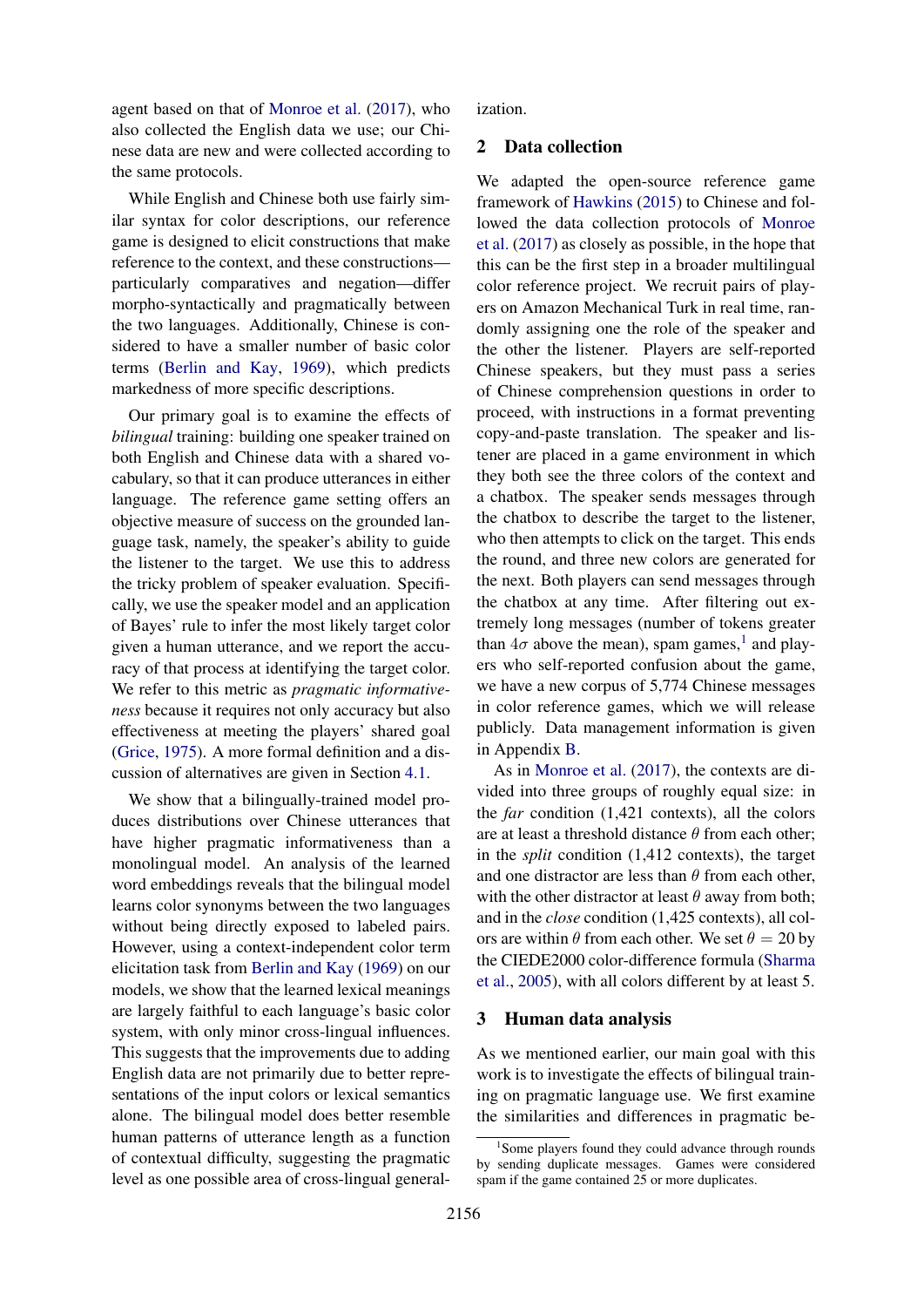agent based on that of Monroe et al. (2017), who also collected the English data we use; our Chinese data are new and were collected according to the same protocols.

While English and Chinese both use fairly similar syntax for color descriptions, our reference game is designed to elicit constructions that make reference to the context, and these constructions particularly comparatives and negation—differ morpho-syntactically and pragmatically between the two languages. Additionally, Chinese is considered to have a smaller number of basic color terms (Berlin and Kay, 1969), which predicts markedness of more specific descriptions.

Our primary goal is to examine the effects of *bilingual* training: building one speaker trained on both English and Chinese data with a shared vocabulary, so that it can produce utterances in either language. The reference game setting offers an objective measure of success on the grounded language task, namely, the speaker's ability to guide the listener to the target. We use this to address the tricky problem of speaker evaluation. Specifically, we use the speaker model and an application of Bayes' rule to infer the most likely target color given a human utterance, and we report the accuracy of that process at identifying the target color. We refer to this metric as *pragmatic informativeness* because it requires not only accuracy but also effectiveness at meeting the players' shared goal (Grice, 1975). A more formal definition and a discussion of alternatives are given in Section 4.1.

We show that a bilingually-trained model produces distributions over Chinese utterances that have higher pragmatic informativeness than a monolingual model. An analysis of the learned word embeddings reveals that the bilingual model learns color synonyms between the two languages without being directly exposed to labeled pairs. However, using a context-independent color term elicitation task from Berlin and Kay (1969) on our models, we show that the learned lexical meanings are largely faithful to each language's basic color system, with only minor cross-lingual influences. This suggests that the improvements due to adding English data are not primarily due to better representations of the input colors or lexical semantics alone. The bilingual model does better resemble human patterns of utterance length as a function of contextual difficulty, suggesting the pragmatic level as one possible area of cross-lingual generalization.

### 2 Data collection

We adapted the open-source reference game framework of Hawkins (2015) to Chinese and followed the data collection protocols of Monroe et al. (2017) as closely as possible, in the hope that this can be the first step in a broader multilingual color reference project. We recruit pairs of players on Amazon Mechanical Turk in real time, randomly assigning one the role of the speaker and the other the listener. Players are self-reported Chinese speakers, but they must pass a series of Chinese comprehension questions in order to proceed, with instructions in a format preventing copy-and-paste translation. The speaker and listener are placed in a game environment in which they both see the three colors of the context and a chatbox. The speaker sends messages through the chatbox to describe the target to the listener, who then attempts to click on the target. This ends the round, and three new colors are generated for the next. Both players can send messages through the chatbox at any time. After filtering out extremely long messages (number of tokens greater than  $4\sigma$  above the mean), spam games,<sup>1</sup> and players who self-reported confusion about the game, we have a new corpus of 5,774 Chinese messages in color reference games, which we will release publicly. Data management information is given in Appendix B.

As in Monroe et al. (2017), the contexts are divided into three groups of roughly equal size: in the *far* condition (1,421 contexts), all the colors are at least a threshold distance  $\theta$  from each other; in the *split* condition (1,412 contexts), the target and one distractor are less than  $\theta$  from each other, with the other distractor at least  $\theta$  away from both; and in the *close* condition (1,425 contexts), all colors are within  $\theta$  from each other. We set  $\theta = 20$  by the CIEDE2000 color-difference formula (Sharma et al., 2005), with all colors different by at least 5.

## 3 Human data analysis

As we mentioned earlier, our main goal with this work is to investigate the effects of bilingual training on pragmatic language use. We first examine the similarities and differences in pragmatic be-

<sup>&</sup>lt;sup>1</sup>Some players found they could advance through rounds by sending duplicate messages. Games were considered spam if the game contained 25 or more duplicates.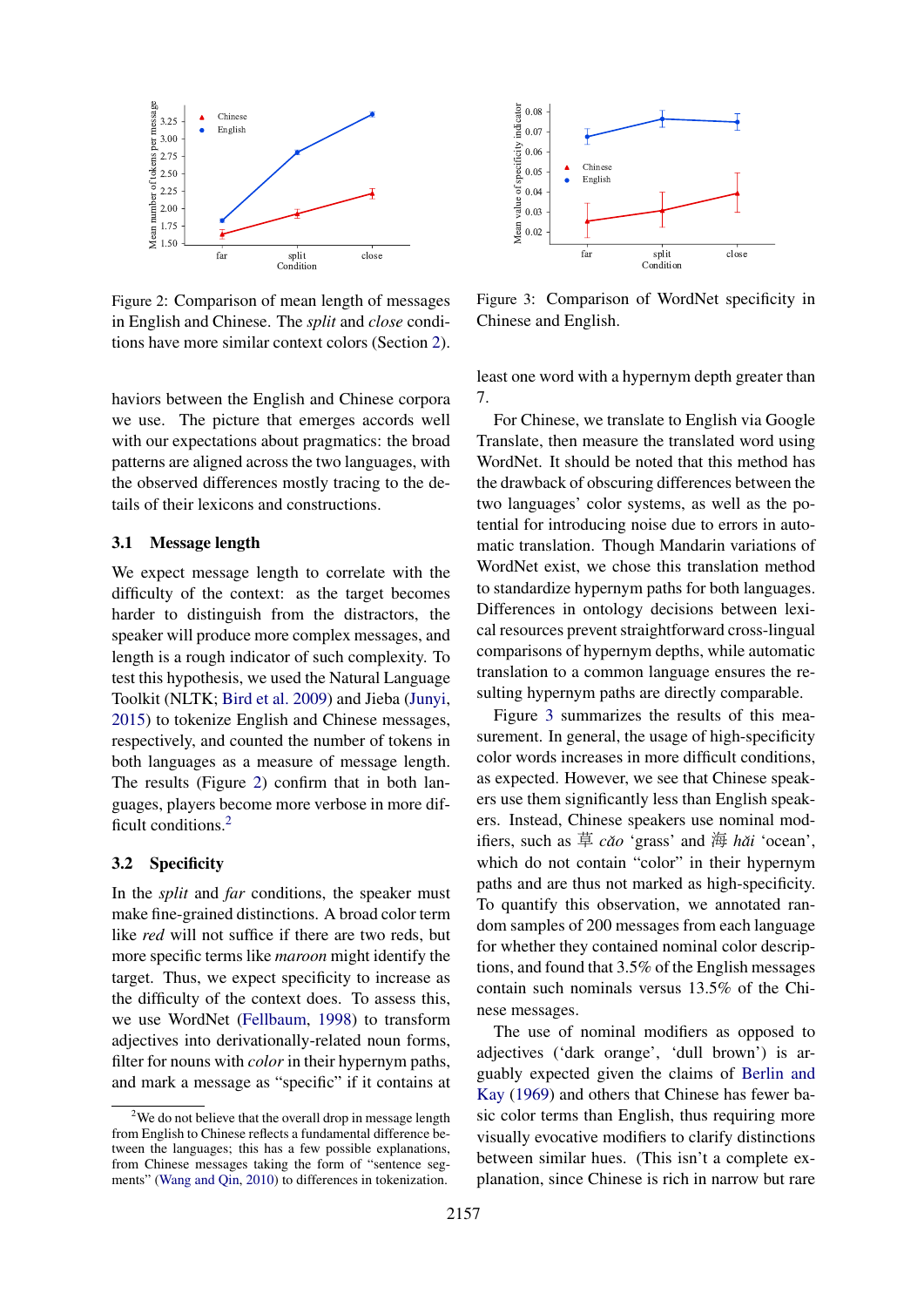

Figure 2: Comparison of mean length of messages in English and Chinese. The *split* and *close* conditions have more similar context colors (Section 2).

haviors between the English and Chinese corpora we use. The picture that emerges accords well with our expectations about pragmatics: the broad patterns are aligned across the two languages, with the observed differences mostly tracing to the details of their lexicons and constructions.

## 3.1 Message length

We expect message length to correlate with the difficulty of the context: as the target becomes harder to distinguish from the distractors, the speaker will produce more complex messages, and length is a rough indicator of such complexity. To test this hypothesis, we used the Natural Language Toolkit (NLTK; Bird et al. 2009) and Jieba (Junyi, 2015) to tokenize English and Chinese messages, respectively, and counted the number of tokens in both languages as a measure of message length. The results (Figure 2) confirm that in both languages, players become more verbose in more difficult conditions.<sup>2</sup>

### 3.2 Specificity

In the *split* and *far* conditions, the speaker must make fine-grained distinctions. A broad color term like *red* will not suffice if there are two reds, but more specific terms like *maroon* might identify the target. Thus, we expect specificity to increase as the difficulty of the context does. To assess this, we use WordNet (Fellbaum, 1998) to transform adjectives into derivationally-related noun forms, filter for nouns with *color* in their hypernym paths, and mark a message as "specific" if it contains at



Figure 3: Comparison of WordNet specificity in Chinese and English.

least one word with a hypernym depth greater than 7.

For Chinese, we translate to English via Google Translate, then measure the translated word using WordNet. It should be noted that this method has the drawback of obscuring differences between the two languages' color systems, as well as the potential for introducing noise due to errors in automatic translation. Though Mandarin variations of WordNet exist, we chose this translation method to standardize hypernym paths for both languages. Differences in ontology decisions between lexical resources prevent straightforward cross-lingual comparisons of hypernym depths, while automatic translation to a common language ensures the resulting hypernym paths are directly comparable.

Figure 3 summarizes the results of this measurement. In general, the usage of high-specificity color words increases in more difficult conditions, as expected. However, we see that Chinese speakers use them significantly less than English speakers. Instead, Chinese speakers use nominal modifiers, such as 草 *caoˇ* 'grass' and 海 *haiˇ* 'ocean', which do not contain "color" in their hypernym paths and are thus not marked as high-specificity. To quantify this observation, we annotated random samples of 200 messages from each language for whether they contained nominal color descriptions, and found that 3.5% of the English messages contain such nominals versus 13.5% of the Chinese messages.

The use of nominal modifiers as opposed to adjectives ('dark orange', 'dull brown') is arguably expected given the claims of Berlin and Kay (1969) and others that Chinese has fewer basic color terms than English, thus requiring more visually evocative modifiers to clarify distinctions between similar hues. (This isn't a complete explanation, since Chinese is rich in narrow but rare

 $2$ We do not believe that the overall drop in message length from English to Chinese reflects a fundamental difference between the languages; this has a few possible explanations, from Chinese messages taking the form of "sentence segments" (Wang and Qin, 2010) to differences in tokenization.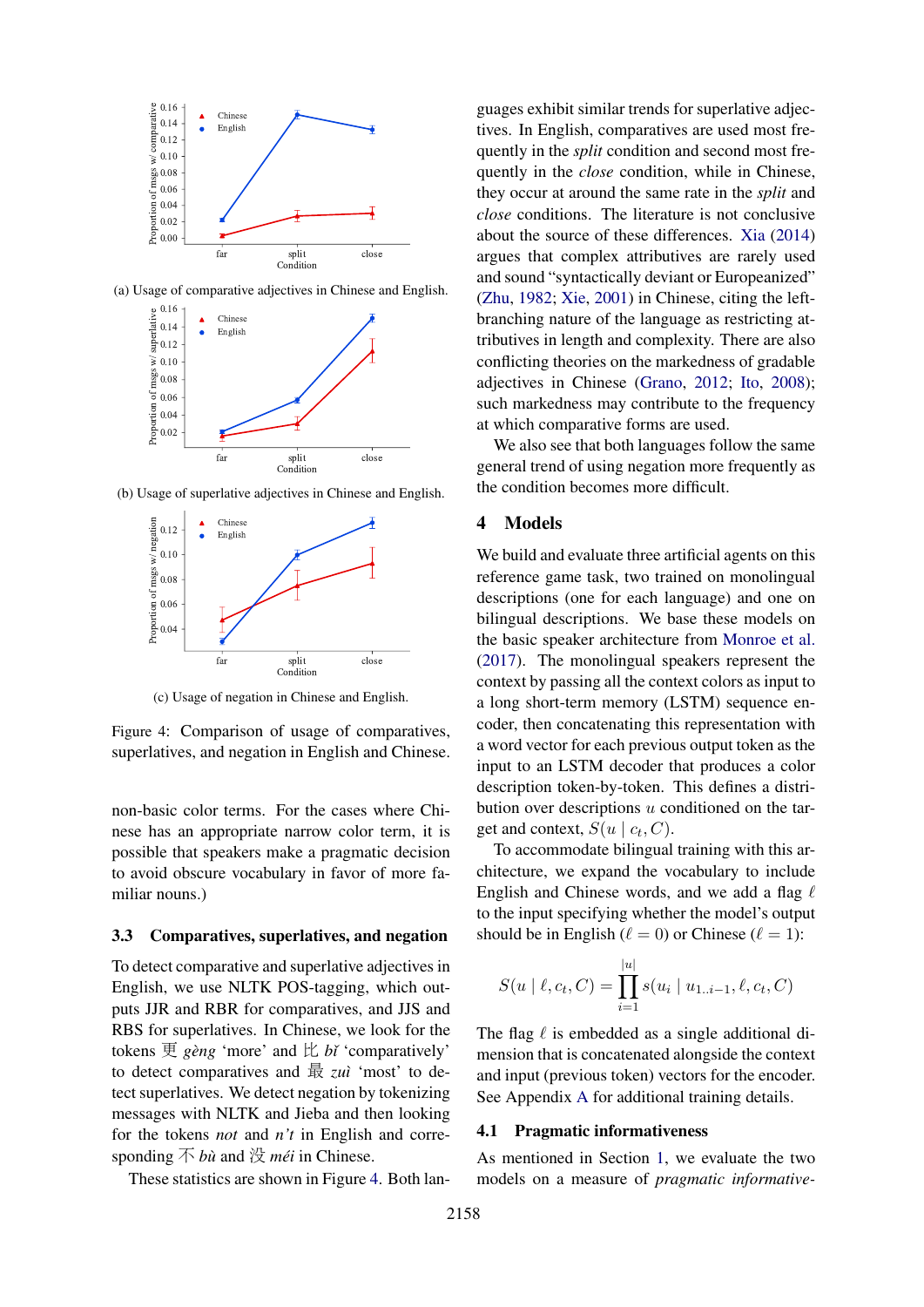

(a) Usage of comparative adjectives in Chinese and English.



(b) Usage of superlative adjectives in Chinese and English.



(c) Usage of negation in Chinese and English.

Figure 4: Comparison of usage of comparatives, superlatives, and negation in English and Chinese.

non-basic color terms. For the cases where Chinese has an appropriate narrow color term, it is possible that speakers make a pragmatic decision to avoid obscure vocabulary in favor of more familiar nouns.)

#### 3.3 Comparatives, superlatives, and negation

To detect comparative and superlative adjectives in English, we use NLTK POS-tagging, which outputs JJR and RBR for comparatives, and JJS and RBS for superlatives. In Chinese, we look for the tokens  $\overline{\mathfrak{B}}$  *gèng* 'more' and  $\overline{\mathfrak{L}}$  *bi* 'comparatively' to detect comparatives and 最 *zu`ı* 'most' to detect superlatives. We detect negation by tokenizing messages with NLTK and Jieba and then looking for the tokens *not* and *n't* in English and corresponding 不 *bu`* and 没 *mei´* in Chinese.

These statistics are shown in Figure 4. Both lan-

guages exhibit similar trends for superlative adjectives. In English, comparatives are used most frequently in the *split* condition and second most frequently in the *close* condition, while in Chinese, they occur at around the same rate in the *split* and *close* conditions. The literature is not conclusive about the source of these differences. Xia (2014) argues that complex attributives are rarely used and sound "syntactically deviant or Europeanized" (Zhu, 1982; Xie, 2001) in Chinese, citing the leftbranching nature of the language as restricting attributives in length and complexity. There are also conflicting theories on the markedness of gradable adjectives in Chinese (Grano, 2012; Ito, 2008); such markedness may contribute to the frequency at which comparative forms are used.

We also see that both languages follow the same general trend of using negation more frequently as the condition becomes more difficult.

### 4 Models

We build and evaluate three artificial agents on this reference game task, two trained on monolingual descriptions (one for each language) and one on bilingual descriptions. We base these models on the basic speaker architecture from Monroe et al. (2017). The monolingual speakers represent the context by passing all the context colors as input to a long short-term memory (LSTM) sequence encoder, then concatenating this representation with a word vector for each previous output token as the input to an LSTM decoder that produces a color description token-by-token. This defines a distribution over descriptions u conditioned on the target and context,  $S(u \mid c_t, C)$ .

To accommodate bilingual training with this architecture, we expand the vocabulary to include English and Chinese words, and we add a flag  $\ell$ to the input specifying whether the model's output should be in English ( $\ell = 0$ ) or Chinese ( $\ell = 1$ ):

$$
S(u \mid \ell, c_t, C) = \prod_{i=1}^{|u|} s(u_i \mid u_{1..i-1}, \ell, c_t, C)
$$

The flag  $\ell$  is embedded as a single additional dimension that is concatenated alongside the context and input (previous token) vectors for the encoder. See Appendix A for additional training details.

#### 4.1 Pragmatic informativeness

As mentioned in Section 1, we evaluate the two models on a measure of *pragmatic informative-*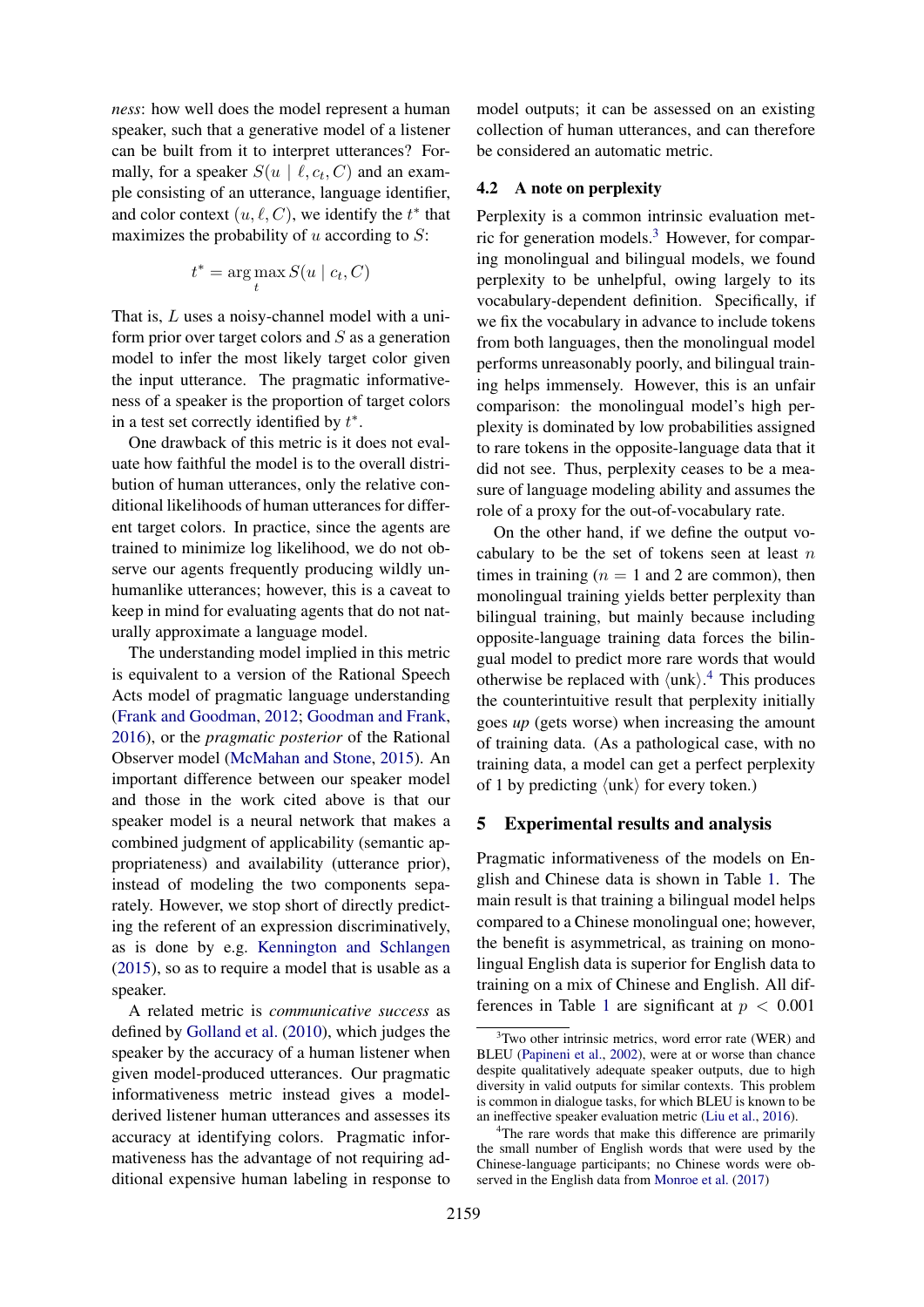*ness*: how well does the model represent a human speaker, such that a generative model of a listener can be built from it to interpret utterances? Formally, for a speaker  $S(u \mid \ell, c_t, C)$  and an example consisting of an utterance, language identifier, and color context  $(u, \ell, C)$ , we identify the  $t^*$  that maximizes the probability of  $u$  according to  $S$ :

$$
t^* = \arg\max_t S(u \mid c_t, C)
$$

That is, L uses a noisy-channel model with a uniform prior over target colors and  $S$  as a generation model to infer the most likely target color given the input utterance. The pragmatic informativeness of a speaker is the proportion of target colors in a test set correctly identified by  $t^*$ .

One drawback of this metric is it does not evaluate how faithful the model is to the overall distribution of human utterances, only the relative conditional likelihoods of human utterances for different target colors. In practice, since the agents are trained to minimize log likelihood, we do not observe our agents frequently producing wildly unhumanlike utterances; however, this is a caveat to keep in mind for evaluating agents that do not naturally approximate a language model.

The understanding model implied in this metric is equivalent to a version of the Rational Speech Acts model of pragmatic language understanding (Frank and Goodman, 2012; Goodman and Frank, 2016), or the *pragmatic posterior* of the Rational Observer model (McMahan and Stone, 2015). An important difference between our speaker model and those in the work cited above is that our speaker model is a neural network that makes a combined judgment of applicability (semantic appropriateness) and availability (utterance prior), instead of modeling the two components separately. However, we stop short of directly predicting the referent of an expression discriminatively, as is done by e.g. Kennington and Schlangen (2015), so as to require a model that is usable as a speaker.

A related metric is *communicative success* as defined by Golland et al. (2010), which judges the speaker by the accuracy of a human listener when given model-produced utterances. Our pragmatic informativeness metric instead gives a modelderived listener human utterances and assesses its accuracy at identifying colors. Pragmatic informativeness has the advantage of not requiring additional expensive human labeling in response to

model outputs; it can be assessed on an existing collection of human utterances, and can therefore be considered an automatic metric.

## 4.2 A note on perplexity

Perplexity is a common intrinsic evaluation metric for generation models.<sup>3</sup> However, for comparing monolingual and bilingual models, we found perplexity to be unhelpful, owing largely to its vocabulary-dependent definition. Specifically, if we fix the vocabulary in advance to include tokens from both languages, then the monolingual model performs unreasonably poorly, and bilingual training helps immensely. However, this is an unfair comparison: the monolingual model's high perplexity is dominated by low probabilities assigned to rare tokens in the opposite-language data that it did not see. Thus, perplexity ceases to be a measure of language modeling ability and assumes the role of a proxy for the out-of-vocabulary rate.

On the other hand, if we define the output vocabulary to be the set of tokens seen at least  $n$ times in training  $(n = 1 \text{ and } 2 \text{ are common})$ , then monolingual training yields better perplexity than bilingual training, but mainly because including opposite-language training data forces the bilingual model to predict more rare words that would otherwise be replaced with  $\langle \text{unk} \rangle$ .<sup>4</sup> This produces the counterintuitive result that perplexity initially goes *up* (gets worse) when increasing the amount of training data. (As a pathological case, with no training data, a model can get a perfect perplexity of 1 by predicting  $\langle \text{unk} \rangle$  for every token.)

# 5 Experimental results and analysis

Pragmatic informativeness of the models on English and Chinese data is shown in Table 1. The main result is that training a bilingual model helps compared to a Chinese monolingual one; however, the benefit is asymmetrical, as training on monolingual English data is superior for English data to training on a mix of Chinese and English. All differences in Table 1 are significant at  $p < 0.001$ 

 $3$ Two other intrinsic metrics, word error rate (WER) and BLEU (Papineni et al., 2002), were at or worse than chance despite qualitatively adequate speaker outputs, due to high diversity in valid outputs for similar contexts. This problem is common in dialogue tasks, for which BLEU is known to be an ineffective speaker evaluation metric (Liu et al., 2016).

<sup>&</sup>lt;sup>4</sup>The rare words that make this difference are primarily the small number of English words that were used by the Chinese-language participants; no Chinese words were observed in the English data from Monroe et al. (2017)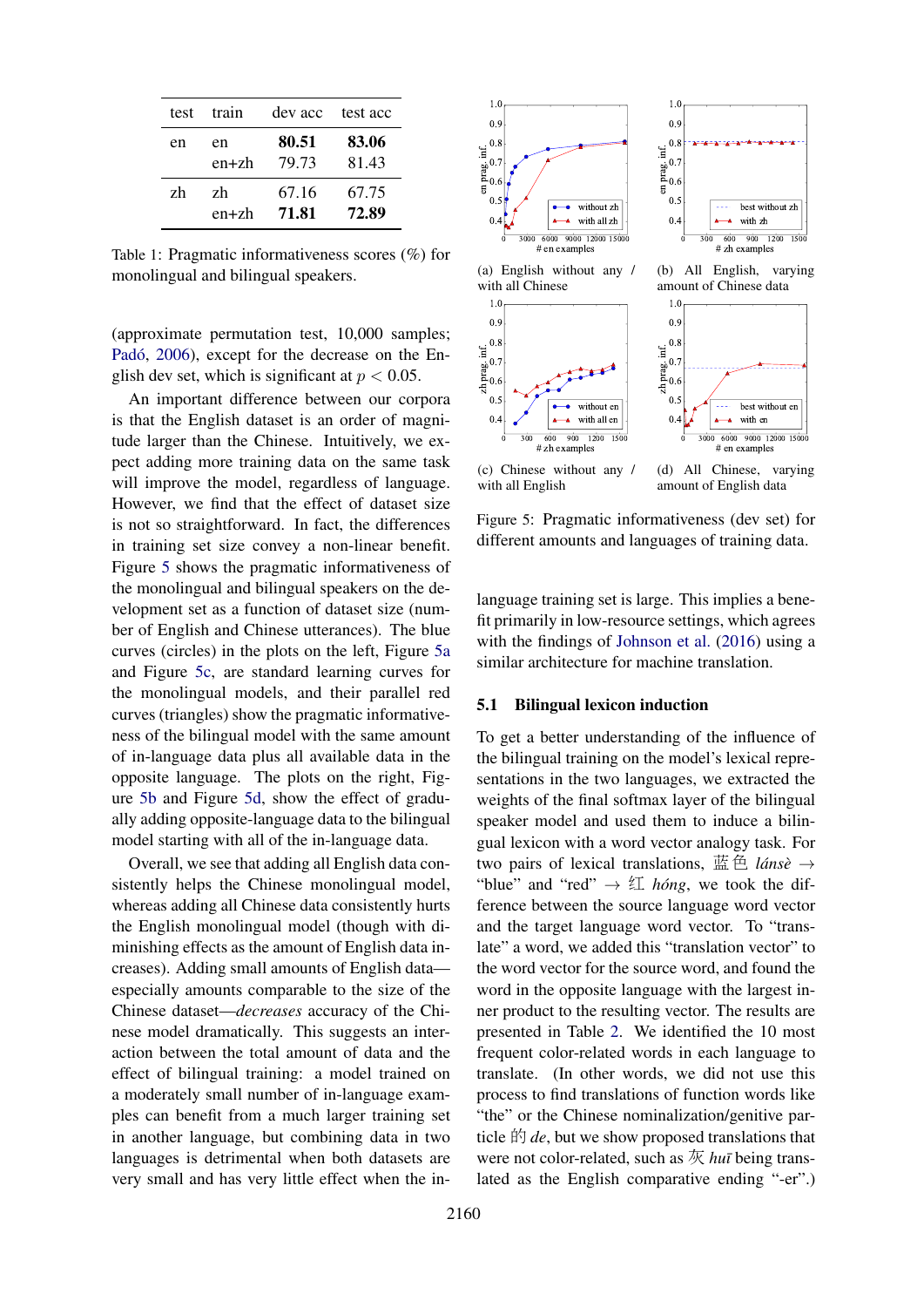| test | train     |       | dev acc test acc |
|------|-----------|-------|------------------|
| en   | en        | 80.51 | 83.06            |
|      | $en + zh$ | 79.73 | 81.43            |
| zh   | zh        | 67.16 | 67.75            |
|      | $en + zh$ | 71.81 | 72.89            |

Table 1: Pragmatic informativeness scores (%) for monolingual and bilingual speakers.

(approximate permutation test, 10,000 samples; Padó, 2006), except for the decrease on the English dev set, which is significant at  $p < 0.05$ .

An important difference between our corpora is that the English dataset is an order of magnitude larger than the Chinese. Intuitively, we expect adding more training data on the same task will improve the model, regardless of language. However, we find that the effect of dataset size is not so straightforward. In fact, the differences in training set size convey a non-linear benefit. Figure 5 shows the pragmatic informativeness of the monolingual and bilingual speakers on the development set as a function of dataset size (number of English and Chinese utterances). The blue curves (circles) in the plots on the left, Figure 5a and Figure 5c, are standard learning curves for the monolingual models, and their parallel red curves (triangles) show the pragmatic informativeness of the bilingual model with the same amount of in-language data plus all available data in the opposite language. The plots on the right, Figure 5b and Figure 5d, show the effect of gradually adding opposite-language data to the bilingual model starting with all of the in-language data.

Overall, we see that adding all English data consistently helps the Chinese monolingual model, whereas adding all Chinese data consistently hurts the English monolingual model (though with diminishing effects as the amount of English data increases). Adding small amounts of English data especially amounts comparable to the size of the Chinese dataset—*decreases* accuracy of the Chinese model dramatically. This suggests an interaction between the total amount of data and the effect of bilingual training: a model trained on a moderately small number of in-language examples can benefit from a much larger training set in another language, but combining data in two languages is detrimental when both datasets are very small and has very little effect when the in-



(c) Chinese without any / with all English

(d) All Chinese, varying amount of English data

Figure 5: Pragmatic informativeness (dev set) for different amounts and languages of training data.

language training set is large. This implies a benefit primarily in low-resource settings, which agrees with the findings of Johnson et al. (2016) using a similar architecture for machine translation.

### 5.1 Bilingual lexicon induction

To get a better understanding of the influence of the bilingual training on the model's lexical representations in the two languages, we extracted the weights of the final softmax layer of the bilingual speaker model and used them to induce a bilingual lexicon with a word vector analogy task. For two pairs of lexical translations,  $\ddot{\mathbf{g}} \triangleq l \hat{a} n s \hat{e} \rightarrow$ "blue" and "red"  $\rightarrow \not\subseteq$  *hóng*, we took the difference between the source language word vector and the target language word vector. To "translate" a word, we added this "translation vector" to the word vector for the source word, and found the word in the opposite language with the largest inner product to the resulting vector. The results are presented in Table 2. We identified the 10 most frequent color-related words in each language to translate. (In other words, we did not use this process to find translations of function words like "the" or the Chinese nominalization/genitive particle  $\hat{F}$  *de*, but we show proposed translations that were not color-related, such as 灰 *huī* being translated as the English comparative ending "-er".)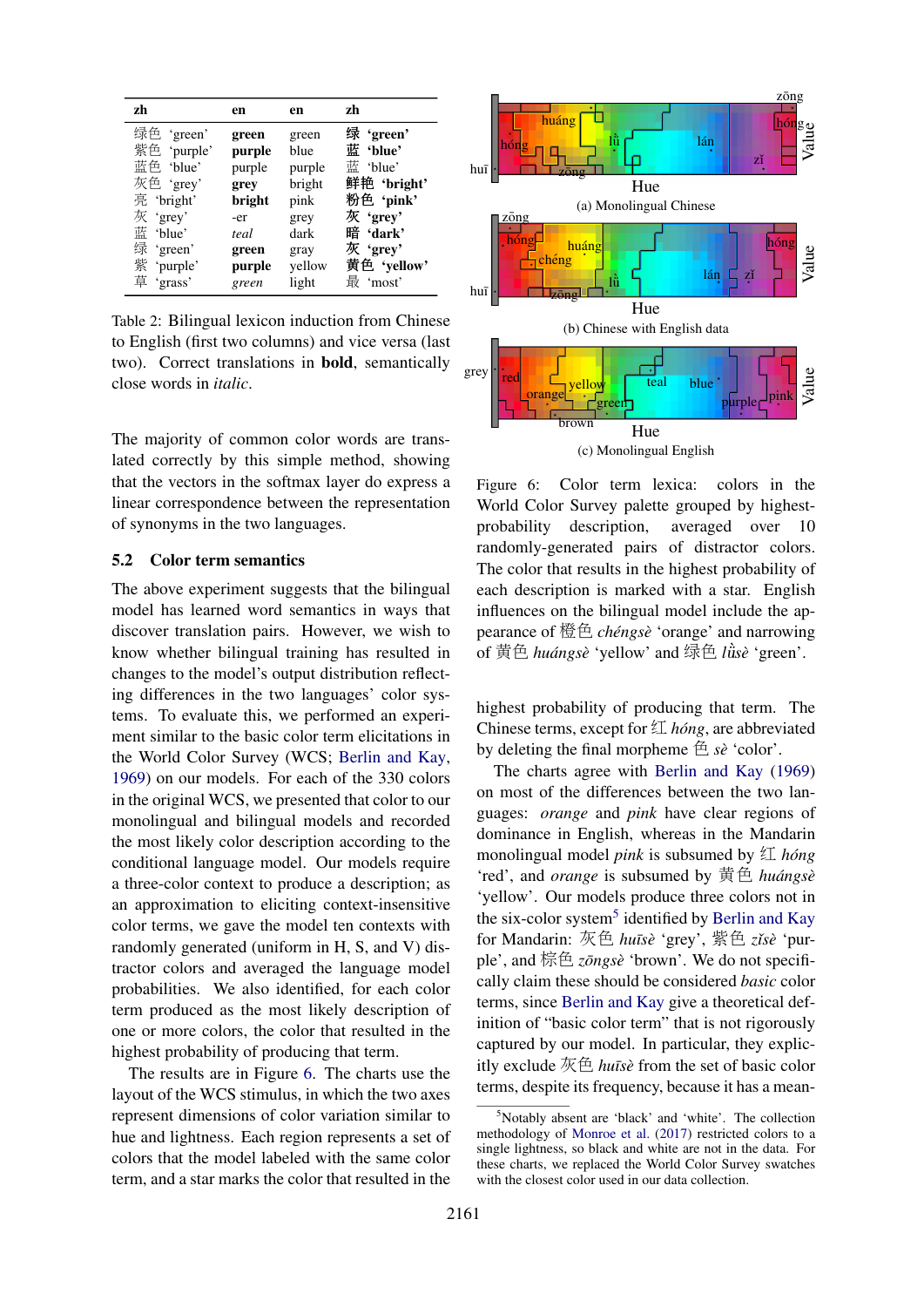| zh          | en     | en     | zh          |
|-------------|--------|--------|-------------|
| 绿色 'green'  | green  | green  | 绿'green'    |
| 紫色 'purple' | purple | blue   | 蓝 'blue'    |
| 蓝色 'blue'   | purple | purple | 蓝 'blue'    |
| 灰色 'grey'   | grey   | bright | 鲜艳 'bright' |
| 亮 'bright'  | bright | pink   | 粉色 'pink'   |
| 灰 'grey'    | -er    | grey   | 灰'grev'     |
| 蓝 'blue'    | teal   | dark   | 暗 'dark'    |
| 绿 'green'   | green  | gray   | 灰 'grey'    |
| 紫 'purple'  | purple | yellow | 黄色 'yellow' |
| 草 'grass'   | green  | light  | 最'most'     |

Table 2: Bilingual lexicon induction from Chinese to English (first two columns) and vice versa (last two). Correct translations in bold, semantically close words in *italic*.

The majority of common color words are translated correctly by this simple method, showing that the vectors in the softmax layer do express a linear correspondence between the representation of synonyms in the two languages.

#### 5.2 Color term semantics

The above experiment suggests that the bilingual model has learned word semantics in ways that discover translation pairs. However, we wish to know whether bilingual training has resulted in changes to the model's output distribution reflecting differences in the two languages' color systems. To evaluate this, we performed an experiment similar to the basic color term elicitations in the World Color Survey (WCS; Berlin and Kay, 1969) on our models. For each of the 330 colors in the original WCS, we presented that color to our monolingual and bilingual models and recorded the most likely color description according to the conditional language model. Our models require a three-color context to produce a description; as an approximation to eliciting context-insensitive color terms, we gave the model ten contexts with randomly generated (uniform in H, S, and V) distractor colors and averaged the language model probabilities. We also identified, for each color term produced as the most likely description of one or more colors, the color that resulted in the highest probability of producing that term.

The results are in Figure 6. The charts use the layout of the WCS stimulus, in which the two axes represent dimensions of color variation similar to hue and lightness. Each region represents a set of colors that the model labeled with the same color term, and a star marks the color that resulted in the



Figure 6: Color term lexica: colors in the World Color Survey palette grouped by highestprobability description, averaged over 10 randomly-generated pairs of distractor colors. The color that results in the highest probability of each description is marked with a star. English influences on the bilingual model include the appearance of 橙色 *chengs ´ e`* 'orange' and narrowing of 黄色 *huangs ´ e`* 'yellow' and 绿色 *l*¨u`*se`* 'green'.

highest probability of producing that term. The Chinese terms, except for 红 *hóng*, are abbreviated by deleting the final morpheme 色 *se`* 'color'.

The charts agree with Berlin and Kay (1969) on most of the differences between the two languages: *orange* and *pink* have clear regions of dominance in English, whereas in the Mandarin monolingual model *pink* is subsumed by  $\mathfrak{I}$  *hóng* 'red', and *orange* is subsumed by 黄色 *huangs ´ e`* 'yellow'. Our models produce three colors not in the six-color system<sup>5</sup> identified by Berlin and Kay for Mandarin: 灰色 *hu¯ıse`* 'grey', 紫色 *zˇıse`* 'purple', and 棕色 *zōngsè* 'brown'. We do not specifically claim these should be considered *basic* color terms, since Berlin and Kay give a theoretical definition of "basic color term" that is not rigorously captured by our model. In particular, they explicitly exclude 灰色 *hu¯ıse`* from the set of basic color terms, despite its frequency, because it has a mean-

<sup>5</sup>Notably absent are 'black' and 'white'. The collection methodology of Monroe et al. (2017) restricted colors to a single lightness, so black and white are not in the data. For these charts, we replaced the World Color Survey swatches with the closest color used in our data collection.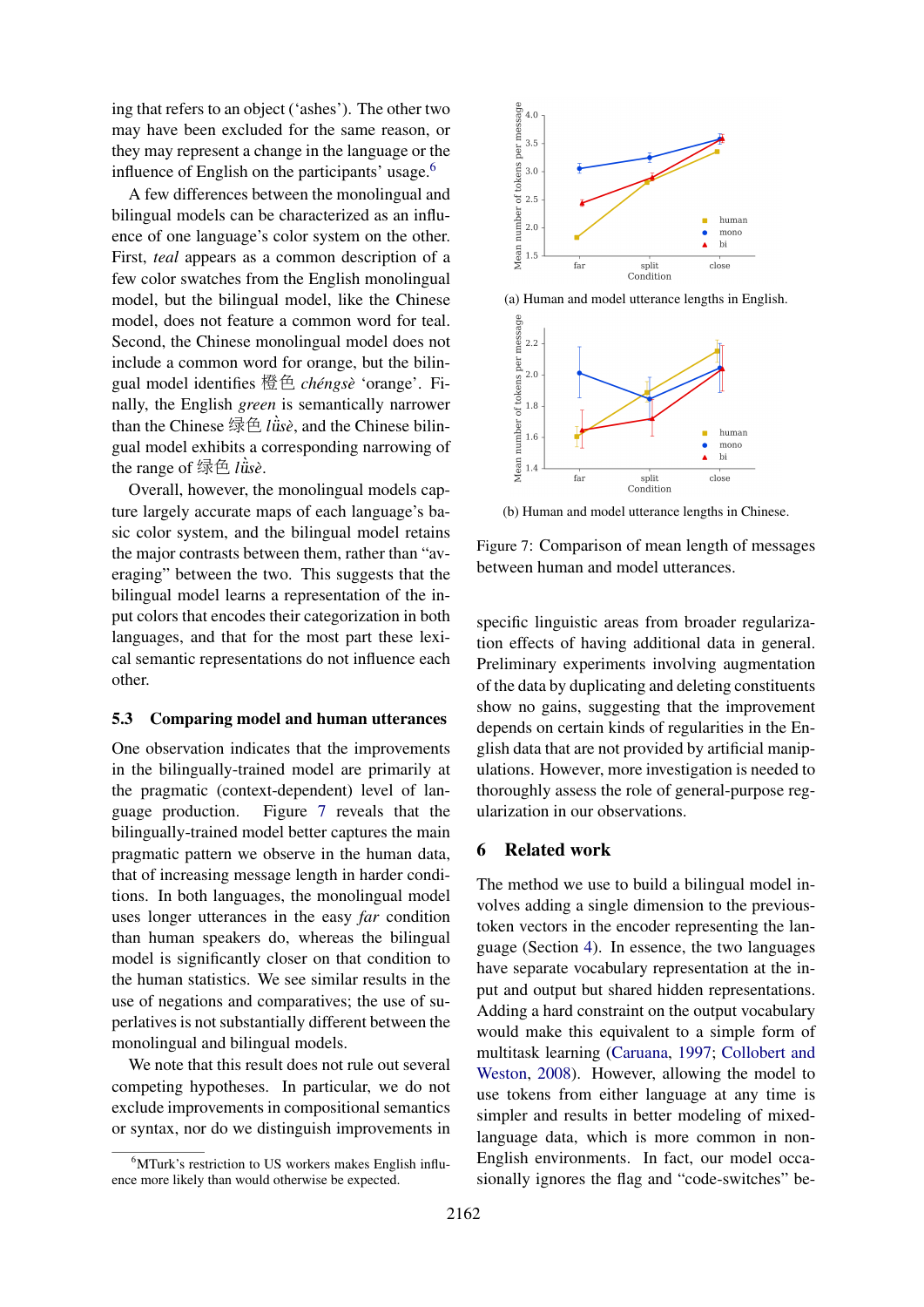ing that refers to an object ('ashes'). The other two may have been excluded for the same reason, or they may represent a change in the language or the influence of English on the participants' usage.<sup>6</sup>

A few differences between the monolingual and bilingual models can be characterized as an influence of one language's color system on the other. First, *teal* appears as a common description of a few color swatches from the English monolingual model, but the bilingual model, like the Chinese model, does not feature a common word for teal. Second, the Chinese monolingual model does not include a common word for orange, but the bilingual model identifies 橙色 *chengs ´ e`* 'orange'. Finally, the English *green* is semantically narrower than the Chinese 绿色 *l*ǜsè, and the Chinese bilingual model exhibits a corresponding narrowing of the range of  $\frac{d}{dx} \hat{E}$  *l*  $\hat{u}$ *se*.

Overall, however, the monolingual models capture largely accurate maps of each language's basic color system, and the bilingual model retains the major contrasts between them, rather than "averaging" between the two. This suggests that the bilingual model learns a representation of the input colors that encodes their categorization in both languages, and that for the most part these lexical semantic representations do not influence each other.

#### 5.3 Comparing model and human utterances

One observation indicates that the improvements in the bilingually-trained model are primarily at the pragmatic (context-dependent) level of language production. Figure 7 reveals that the bilingually-trained model better captures the main pragmatic pattern we observe in the human data, that of increasing message length in harder conditions. In both languages, the monolingual model uses longer utterances in the easy *far* condition than human speakers do, whereas the bilingual model is significantly closer on that condition to the human statistics. We see similar results in the use of negations and comparatives; the use of superlatives is not substantially different between the monolingual and bilingual models.

We note that this result does not rule out several competing hypotheses. In particular, we do not exclude improvements in compositional semantics or syntax, nor do we distinguish improvements in



(a) Human and model utterance lengths in English.



(b) Human and model utterance lengths in Chinese.

Figure 7: Comparison of mean length of messages between human and model utterances.

specific linguistic areas from broader regularization effects of having additional data in general. Preliminary experiments involving augmentation of the data by duplicating and deleting constituents show no gains, suggesting that the improvement depends on certain kinds of regularities in the English data that are not provided by artificial manipulations. However, more investigation is needed to thoroughly assess the role of general-purpose regularization in our observations.

# 6 Related work

The method we use to build a bilingual model involves adding a single dimension to the previoustoken vectors in the encoder representing the language (Section 4). In essence, the two languages have separate vocabulary representation at the input and output but shared hidden representations. Adding a hard constraint on the output vocabulary would make this equivalent to a simple form of multitask learning (Caruana, 1997; Collobert and Weston, 2008). However, allowing the model to use tokens from either language at any time is simpler and results in better modeling of mixedlanguage data, which is more common in non-English environments. In fact, our model occasionally ignores the flag and "code-switches" be-

 $6$ MTurk's restriction to US workers makes English influence more likely than would otherwise be expected.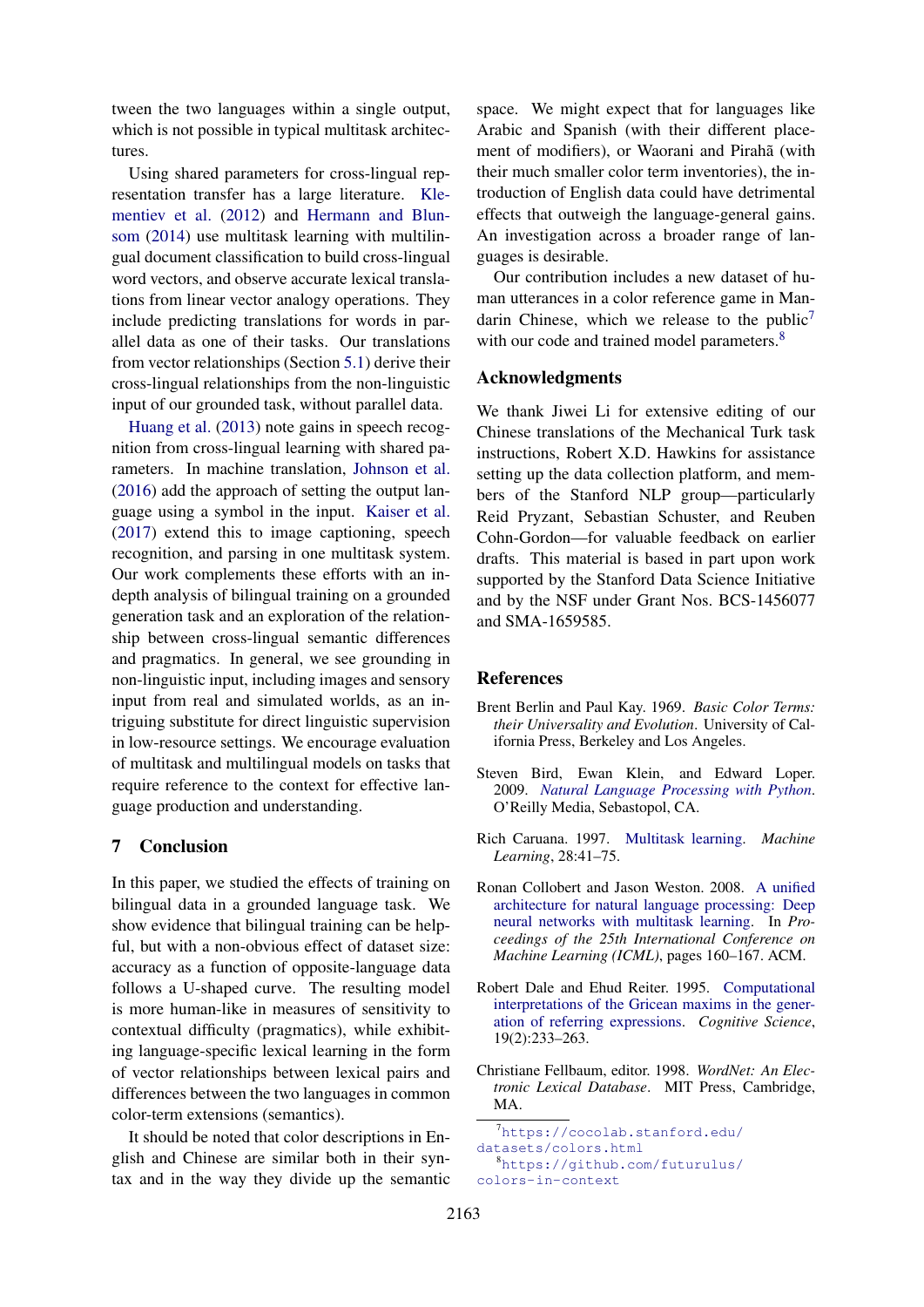tween the two languages within a single output, which is not possible in typical multitask architectures.

Using shared parameters for cross-lingual representation transfer has a large literature. Klementiev et al. (2012) and Hermann and Blunsom (2014) use multitask learning with multilingual document classification to build cross-lingual word vectors, and observe accurate lexical translations from linear vector analogy operations. They include predicting translations for words in parallel data as one of their tasks. Our translations from vector relationships (Section 5.1) derive their cross-lingual relationships from the non-linguistic input of our grounded task, without parallel data.

Huang et al. (2013) note gains in speech recognition from cross-lingual learning with shared parameters. In machine translation, Johnson et al. (2016) add the approach of setting the output language using a symbol in the input. Kaiser et al. (2017) extend this to image captioning, speech recognition, and parsing in one multitask system. Our work complements these efforts with an indepth analysis of bilingual training on a grounded generation task and an exploration of the relationship between cross-lingual semantic differences and pragmatics. In general, we see grounding in non-linguistic input, including images and sensory input from real and simulated worlds, as an intriguing substitute for direct linguistic supervision in low-resource settings. We encourage evaluation of multitask and multilingual models on tasks that require reference to the context for effective language production and understanding.

# 7 Conclusion

In this paper, we studied the effects of training on bilingual data in a grounded language task. We show evidence that bilingual training can be helpful, but with a non-obvious effect of dataset size: accuracy as a function of opposite-language data follows a U-shaped curve. The resulting model is more human-like in measures of sensitivity to contextual difficulty (pragmatics), while exhibiting language-specific lexical learning in the form of vector relationships between lexical pairs and differences between the two languages in common color-term extensions (semantics).

It should be noted that color descriptions in English and Chinese are similar both in their syntax and in the way they divide up the semantic

space. We might expect that for languages like Arabic and Spanish (with their different placement of modifiers), or Waorani and Pirahã (with their much smaller color term inventories), the introduction of English data could have detrimental effects that outweigh the language-general gains. An investigation across a broader range of languages is desirable.

Our contribution includes a new dataset of human utterances in a color reference game in Mandarin Chinese, which we release to the public<sup>7</sup> with our code and trained model parameters.<sup>8</sup>

### Acknowledgments

We thank Jiwei Li for extensive editing of our Chinese translations of the Mechanical Turk task instructions, Robert X.D. Hawkins for assistance setting up the data collection platform, and members of the Stanford NLP group—particularly Reid Pryzant, Sebastian Schuster, and Reuben Cohn-Gordon—for valuable feedback on earlier drafts. This material is based in part upon work supported by the Stanford Data Science Initiative and by the NSF under Grant Nos. BCS-1456077 and SMA-1659585.

## References

- Brent Berlin and Paul Kay. 1969. *Basic Color Terms: their Universality and Evolution*. University of California Press, Berkeley and Los Angeles.
- Steven Bird, Ewan Klein, and Edward Loper. 2009. *Natural Language Processing with Python*. O'Reilly Media, Sebastopol, CA.
- Rich Caruana. 1997. Multitask learning. *Machine Learning*, 28:41–75.
- Ronan Collobert and Jason Weston. 2008. A unified architecture for natural language processing: Deep neural networks with multitask learning. In *Proceedings of the 25th International Conference on Machine Learning (ICML)*, pages 160–167. ACM.
- Robert Dale and Ehud Reiter. 1995. Computational interpretations of the Gricean maxims in the generation of referring expressions. *Cognitive Science*, 19(2):233–263.
- Christiane Fellbaum, editor. 1998. *WordNet: An Electronic Lexical Database*. MIT Press, Cambridge, MA.

<sup>7</sup>https://cocolab.stanford.edu/ datasets/colors.html <sup>8</sup>https://github.com/futurulus/ colors-in-context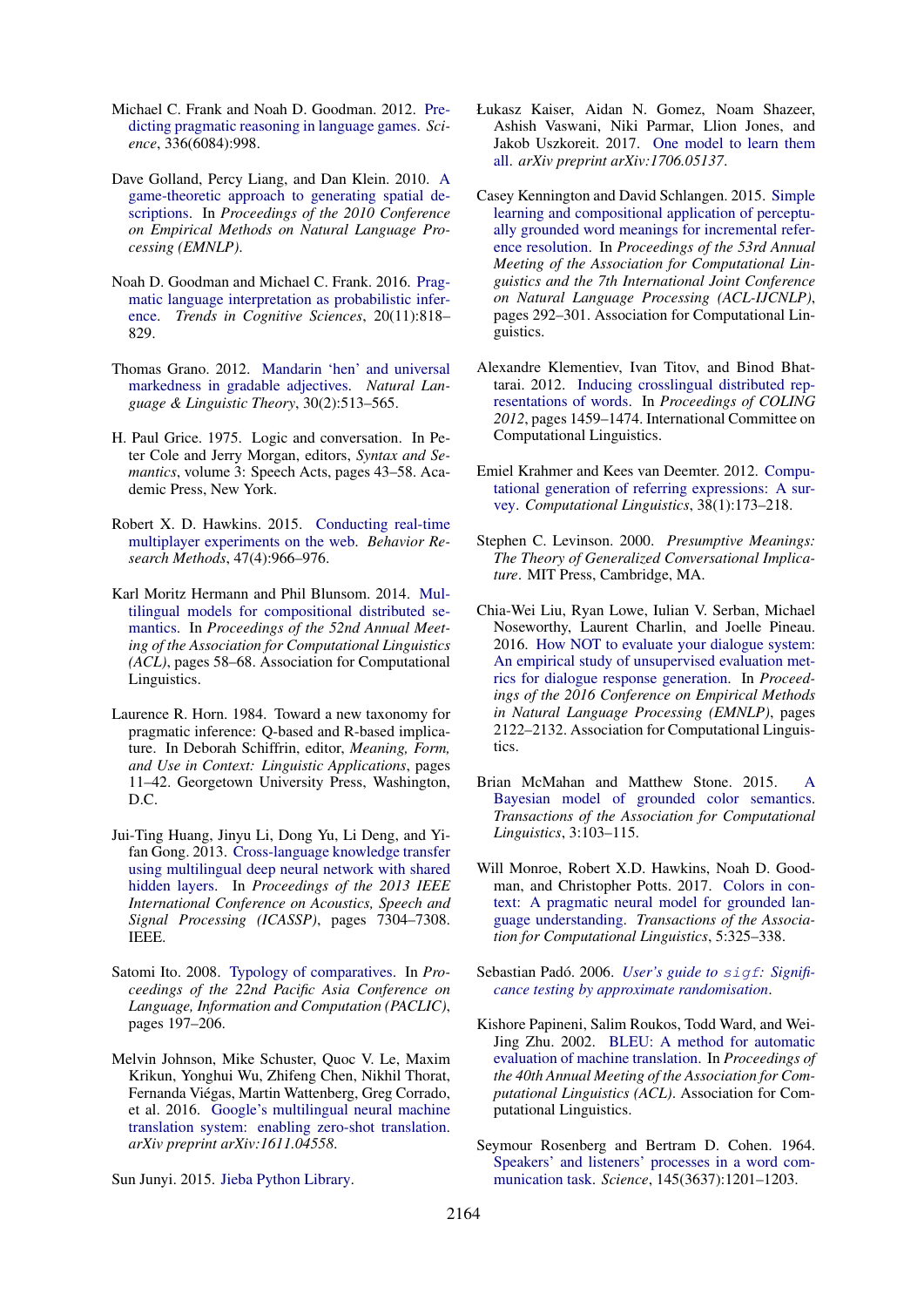- Michael C. Frank and Noah D. Goodman. 2012. Predicting pragmatic reasoning in language games. *Science*, 336(6084):998.
- Dave Golland, Percy Liang, and Dan Klein. 2010. A game-theoretic approach to generating spatial descriptions. In *Proceedings of the 2010 Conference on Empirical Methods on Natural Language Processing (EMNLP)*.
- Noah D. Goodman and Michael C. Frank. 2016. Pragmatic language interpretation as probabilistic inference. *Trends in Cognitive Sciences*, 20(11):818– 829.
- Thomas Grano. 2012. Mandarin 'hen' and universal markedness in gradable adjectives. *Natural Language & Linguistic Theory*, 30(2):513–565.
- H. Paul Grice. 1975. Logic and conversation. In Peter Cole and Jerry Morgan, editors, *Syntax and Semantics*, volume 3: Speech Acts, pages 43–58. Academic Press, New York.
- Robert X. D. Hawkins. 2015. Conducting real-time multiplayer experiments on the web. *Behavior Research Methods*, 47(4):966–976.
- Karl Moritz Hermann and Phil Blunsom. 2014. Multilingual models for compositional distributed semantics. In *Proceedings of the 52nd Annual Meeting of the Association for Computational Linguistics (ACL)*, pages 58–68. Association for Computational Linguistics.
- Laurence R. Horn. 1984. Toward a new taxonomy for pragmatic inference: Q-based and R-based implicature. In Deborah Schiffrin, editor, *Meaning, Form, and Use in Context: Linguistic Applications*, pages 11–42. Georgetown University Press, Washington, D.C.
- Jui-Ting Huang, Jinyu Li, Dong Yu, Li Deng, and Yifan Gong. 2013. Cross-language knowledge transfer using multilingual deep neural network with shared hidden layers. In *Proceedings of the 2013 IEEE International Conference on Acoustics, Speech and Signal Processing (ICASSP)*, pages 7304–7308. IEEE.
- Satomi Ito. 2008. Typology of comparatives. In *Proceedings of the 22nd Pacific Asia Conference on Language, Information and Computation (PACLIC)*, pages 197–206.
- Melvin Johnson, Mike Schuster, Quoc V. Le, Maxim Krikun, Yonghui Wu, Zhifeng Chen, Nikhil Thorat, Fernanda Viegas, Martin Wattenberg, Greg Corrado, ´ et al. 2016. Google's multilingual neural machine translation system: enabling zero-shot translation. *arXiv preprint arXiv:1611.04558*.

Sun Junyi. 2015. Jieba Python Library.

- Łukasz Kaiser, Aidan N. Gomez, Noam Shazeer, Ashish Vaswani, Niki Parmar, Llion Jones, and Jakob Uszkoreit. 2017. One model to learn them all. *arXiv preprint arXiv:1706.05137*.
- Casey Kennington and David Schlangen. 2015. Simple learning and compositional application of perceptually grounded word meanings for incremental reference resolution. In *Proceedings of the 53rd Annual Meeting of the Association for Computational Linguistics and the 7th International Joint Conference on Natural Language Processing (ACL-IJCNLP)*, pages 292–301. Association for Computational Linguistics.
- Alexandre Klementiev, Ivan Titov, and Binod Bhattarai. 2012. Inducing crosslingual distributed representations of words. In *Proceedings of COLING 2012*, pages 1459–1474. International Committee on Computational Linguistics.
- Emiel Krahmer and Kees van Deemter. 2012. Computational generation of referring expressions: A survey. *Computational Linguistics*, 38(1):173–218.
- Stephen C. Levinson. 2000. *Presumptive Meanings: The Theory of Generalized Conversational Implicature*. MIT Press, Cambridge, MA.
- Chia-Wei Liu, Ryan Lowe, Iulian V. Serban, Michael Noseworthy, Laurent Charlin, and Joelle Pineau. 2016. How NOT to evaluate your dialogue system: An empirical study of unsupervised evaluation metrics for dialogue response generation. In *Proceedings of the 2016 Conference on Empirical Methods in Natural Language Processing (EMNLP)*, pages 2122–2132. Association for Computational Linguistics.
- Brian McMahan and Matthew Stone. 2015. A Bayesian model of grounded color semantics. *Transactions of the Association for Computational Linguistics*, 3:103–115.
- Will Monroe, Robert X.D. Hawkins, Noah D. Goodman, and Christopher Potts. 2017. Colors in context: A pragmatic neural model for grounded language understanding. *Transactions of the Association for Computational Linguistics*, 5:325–338.
- Sebastian Padó. 2006. User's guide to sigf: Signifi*cance testing by approximate randomisation*.
- Kishore Papineni, Salim Roukos, Todd Ward, and Wei-Jing Zhu. 2002. BLEU: A method for automatic evaluation of machine translation. In *Proceedings of the 40th Annual Meeting of the Association for Computational Linguistics (ACL)*. Association for Computational Linguistics.
- Seymour Rosenberg and Bertram D. Cohen. 1964. Speakers' and listeners' processes in a word communication task. *Science*, 145(3637):1201–1203.